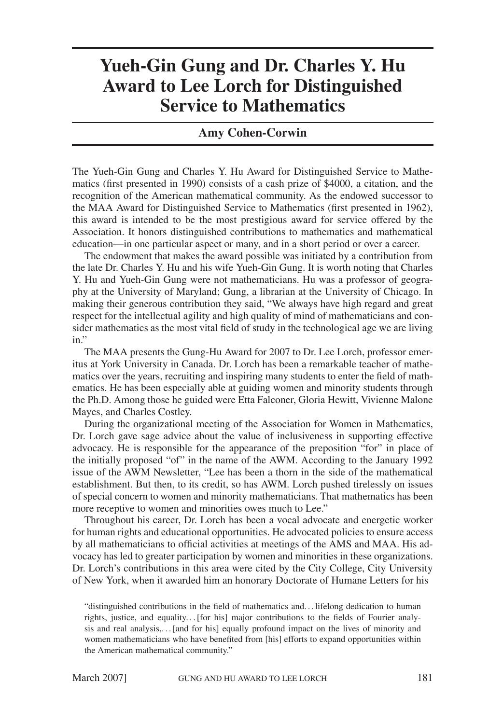## **Yueh-Gin Gung and Dr. Charles Y. Hu Award to Lee Lorch for Distinguished Service to Mathematics**

## **Amy Cohen-Corwin**

The Yueh-Gin Gung and Charles Y. Hu Award for Distinguished Service to Mathematics (first presented in 1990) consists of a cash prize of \$4000, a citation, and the recognition of the American mathematical community. As the endowed successor to the MAA Award for Distinguished Service to Mathematics (first presented in 1962), this award is intended to be the most prestigious award for service offered by the Association. It honors distinguished contributions to mathematics and mathematical education—in one particular aspect or many, and in a short period or over a career.

The endowment that makes the award possible was initiated by a contribution from the late Dr. Charles Y. Hu and his wife Yueh-Gin Gung. It is worth noting that Charles Y. Hu and Yueh-Gin Gung were not mathematicians. Hu was a professor of geography at the University of Maryland; Gung, a librarian at the University of Chicago. In making their generous contribution they said, "We always have high regard and great respect for the intellectual agility and high quality of mind of mathematicians and consider mathematics as the most vital field of study in the technological age we are living  $in.$ "

The MAA presents the Gung-Hu Award for 2007 to Dr. Lee Lorch, professor emeritus at York University in Canada. Dr. Lorch has been a remarkable teacher of mathematics over the years, recruiting and inspiring many students to enter the field of mathematics. He has been especially able at guiding women and minority students through the Ph.D. Among those he guided were Etta Falconer, Gloria Hewitt, Vivienne Malone Mayes, and Charles Costley.

During the organizational meeting of the Association for Women in Mathematics, Dr. Lorch gave sage advice about the value of inclusiveness in supporting effective advocacy. He is responsible for the appearance of the preposition "for" in place of the initially proposed "of" in the name of the AWM. According to the January 1992 issue of the AWM Newsletter, "Lee has been a thorn in the side of the mathematical establishment. But then, to its credit, so has AWM. Lorch pushed tirelessly on issues of special concern to women and minority mathematicians. That mathematics has been more receptive to women and minorities owes much to Lee."

Throughout his career, Dr. Lorch has been a vocal advocate and energetic worker for human rights and educational opportunities. He advocated policies to ensure access by all mathematicians to official activities at meetings of the AMS and MAA. His advocacy has led to greater participation by women and minorities in these organizations. Dr. Lorch's contributions in this area were cited by the City College, City University of New York, when it awarded him an honorary Doctorate of Humane Letters for his

"distinguished contributions in the field of mathematics and...lifelong dedication to human rights, justice, and equality... [for his] major contributions to the fields of Fourier analysis and real analysis,... [and for his] equally profound impact on the lives of minority and women mathematicians who have benefited from [his] efforts to expand opportunities within the American mathematical community."